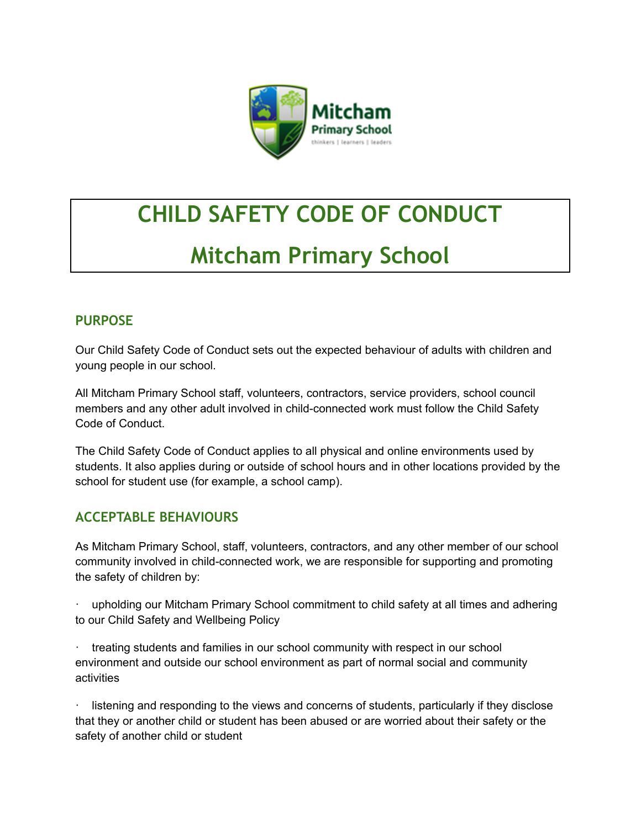

# **CHILD SAFETY CODE OF CONDUCT**

# **Mitcham Primary School**

#### **PURPOSE**

Our Child Safety Code of Conduct sets out the expected behaviour of adults with children and young people in our school.

All Mitcham Primary School staff, volunteers, contractors, service providers, school council members and any other adult involved in child-connected work must follow the Child Safety Code of Conduct.

The Child Safety Code of Conduct applies to all physical and online environments used by students. It also applies during or outside of school hours and in other locations provided by the school for student use (for example, a school camp).

#### **ACCEPTABLE BEHAVIOURS**

As Mitcham Primary School, staff, volunteers, contractors, and any other member of our school community involved in child-connected work, we are responsible for supporting and promoting the safety of children by:

· upholding our Mitcham Primary School commitment to child safety at all times and adhering to our Child Safety and Wellbeing Policy

treating students and families in our school community with respect in our school environment and outside our school environment as part of normal social and community activities

listening and responding to the views and concerns of students, particularly if they disclose that they or another child or student has been abused or are worried about their safety or the safety of another child or student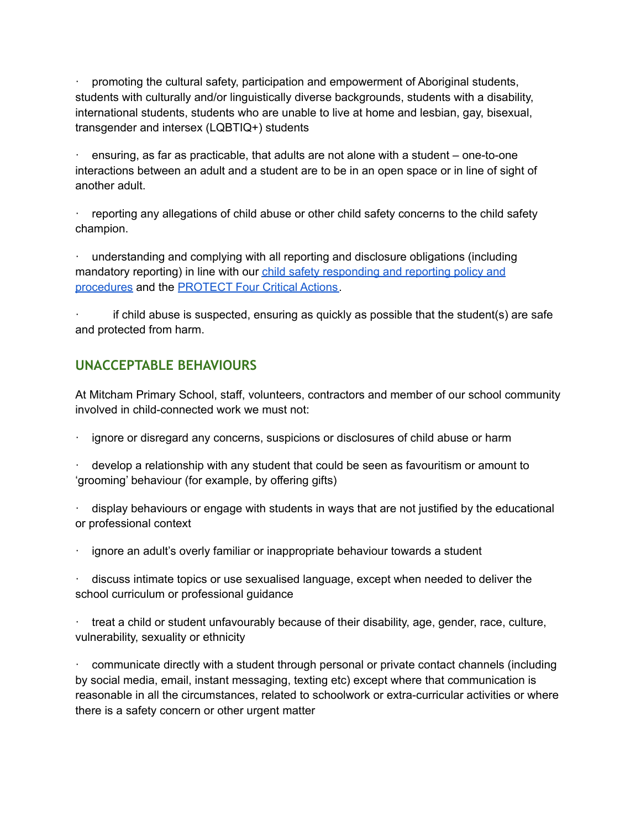· promoting the cultural safety, participation and empowerment of Aboriginal students, students with culturally and/or linguistically diverse backgrounds, students with a disability, international students, students who are unable to live at home and lesbian, gay, bisexual, transgender and intersex (LQBTIQ+) students

ensuring, as far as practicable, that adults are not alone with a student – one-to-one interactions between an adult and a student are to be in an open space or in line of sight of another adult.

· reporting any allegations of child abuse or other child safety concerns to the child safety champion.

· understanding and complying with all reporting and disclosure obligations (including mandatory reporting) in line with our child safety [responding](https://docs.google.com/document/d/1UdtWR7ipR3px1BP2xTdp8Hxu2kajqqm5FZw_0EZkHsA/edit?usp=sharing) and reporting policy and [procedures](https://docs.google.com/document/d/1UdtWR7ipR3px1BP2xTdp8Hxu2kajqqm5FZw_0EZkHsA/edit?usp=sharing) and the [PROTECT](https://www.education.vic.gov.au/Documents/about/programs/health/protect/FourCriticalActions_ChildAbuse.pdf) Four Critical Actions.

· if child abuse is suspected, ensuring as quickly as possible that the student(s) are safe and protected from harm.

#### **UNACCEPTABLE BEHAVIOURS**

At Mitcham Primary School, staff, volunteers, contractors and member of our school community involved in child-connected work we must not:

· ignore or disregard any concerns, suspicions or disclosures of child abuse or harm

develop a relationship with any student that could be seen as favouritism or amount to 'grooming' behaviour (for example, by offering gifts)

· display behaviours or engage with students in ways that are not justified by the educational or professional context

ignore an adult's overly familiar or inappropriate behaviour towards a student

discuss intimate topics or use sexualised language, except when needed to deliver the school curriculum or professional guidance

· treat a child or student unfavourably because of their disability, age, gender, race, culture, vulnerability, sexuality or ethnicity

· communicate directly with a student through personal or private contact channels (including by social media, email, instant messaging, texting etc) except where that communication is reasonable in all the circumstances, related to schoolwork or extra-curricular activities or where there is a safety concern or other urgent matter